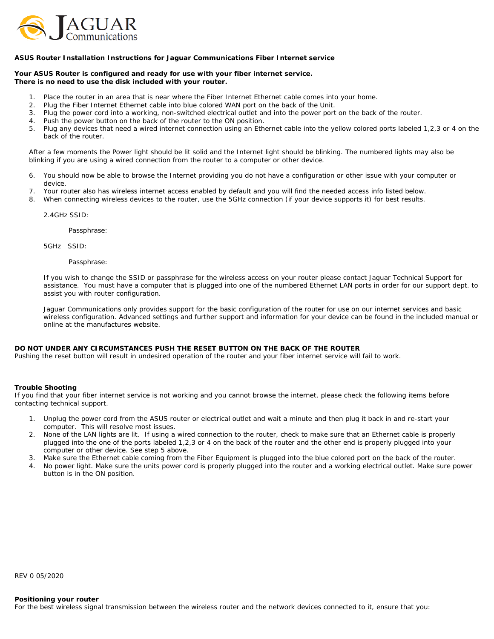

## **ASUS Router Installation Instructions for Jaguar Communications Fiber Internet service**

**Your ASUS Router is configured and ready for use with your fiber internet service. There is no need to use the disk included with your router.**

- 1. Place the router in an area that is near where the Fiber Internet Ethernet cable comes into your home.
- 2. Plug the Fiber Internet Ethernet cable into blue colored WAN port on the back of the Unit.
- 3. Plug the power cord into a working, non-switched electrical outlet and into the power port on the back of the router.
- 4. Push the power button on the back of the router to the ON position.
- 5. Plug any devices that need a wired internet connection using an Ethernet cable into the yellow colored ports labeled 1,2,3 or 4 on the back of the router.

After a few moments the Power light should be lit solid and the Internet light should be blinking. The numbered lights may also be blinking if you are using a wired connection from the router to a computer or other device.

- 6. You should now be able to browse the Internet providing you do not have a configuration or other issue with your computer or device.
- 7. Your router also has wireless internet access enabled by default and you will find the needed access info listed below.
- 8. When connecting wireless devices to the router, use the 5GHz connection (if your device supports it) for best results.

2.4GHz SSID:

Passphrase:

5GHz SSID:

Passphrase:

If you wish to change the SSID or passphrase for the wireless access on your router please contact Jaguar Technical Support for assistance. You must have a computer that is plugged into one of the numbered Ethernet LAN ports in order for our support dept. to assist you with router configuration.

Jaguar Communications only provides support for the basic configuration of the router for use on our internet services and basic wireless configuration. Advanced settings and further support and information for your device can be found in the included manual or online at the manufactures website.

## **DO NOT UNDER ANY CIRCUMSTANCES PUSH THE RESET BUTTON ON THE BACK OF THE ROUTER**

Pushing the reset button will result in undesired operation of the router and your fiber internet service will fail to work.

## **Trouble Shooting**

If you find that your fiber internet service is not working and you cannot browse the internet, please check the following items before contacting technical support.

- 1. Unplug the power cord from the ASUS router or electrical outlet and wait a minute and then plug it back in and re-start your computer. This will resolve most issues.
- 2. None of the LAN lights are lit. If using a wired connection to the router, check to make sure that an Ethernet cable is properly plugged into the one of the ports labeled 1,2,3 or 4 on the back of the router and the other end is properly plugged into your computer or other device. See step 5 above.
- 3. Make sure the Ethernet cable coming from the Fiber Equipment is plugged into the blue colored port on the back of the router.
- 4. No power light. Make sure the units power cord is properly plugged into the router and a working electrical outlet. Make sure power button is in the ON position.

REV 0 05/2020